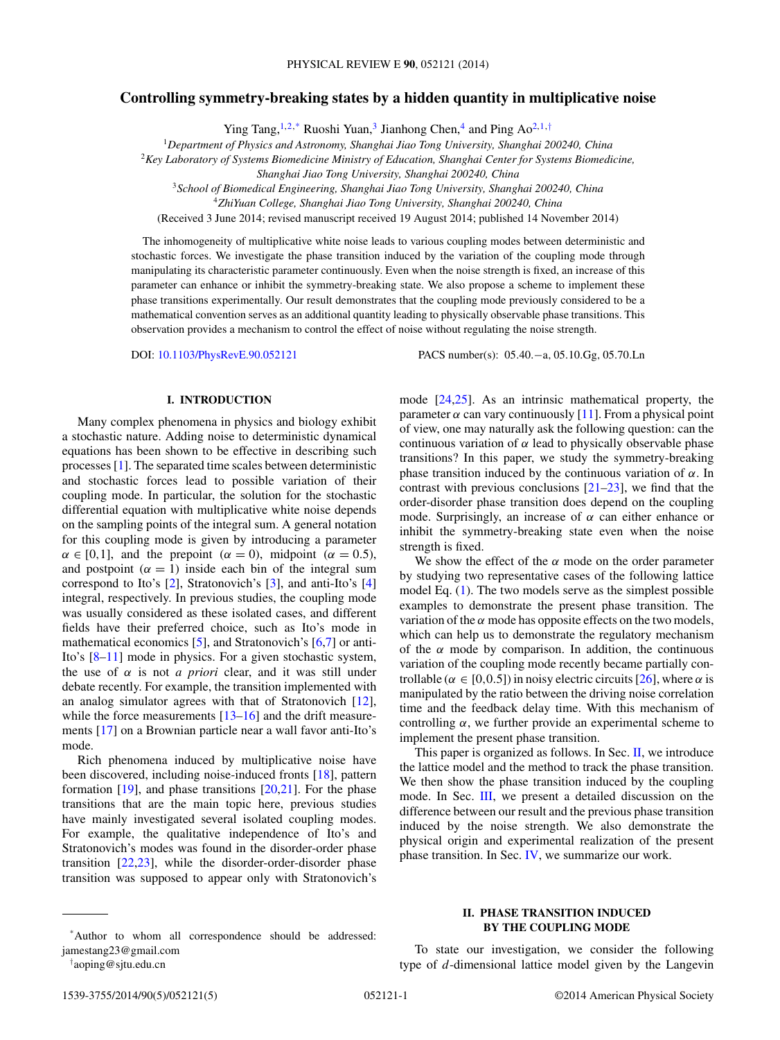# **Controlling symmetry-breaking states by a hidden quantity in multiplicative noise**

Ying Tang,  $1,2,^*$  Ruoshi Yuan,<sup>3</sup> Jianhong Chen,<sup>4</sup> and Ping Ao<sup>2,1,†</sup>

<sup>1</sup>*Department of Physics and Astronomy, Shanghai Jiao Tong University, Shanghai 200240, China*

<sup>2</sup>*Key Laboratory of Systems Biomedicine Ministry of Education, Shanghai Center for Systems Biomedicine,*

*Shanghai Jiao Tong University, Shanghai 200240, China*

<sup>3</sup>*School of Biomedical Engineering, Shanghai Jiao Tong University, Shanghai 200240, China*

<sup>4</sup>*ZhiYuan College, Shanghai Jiao Tong University, Shanghai 200240, China*

(Received 3 June 2014; revised manuscript received 19 August 2014; published 14 November 2014)

The inhomogeneity of multiplicative white noise leads to various coupling modes between deterministic and stochastic forces. We investigate the phase transition induced by the variation of the coupling mode through manipulating its characteristic parameter continuously. Even when the noise strength is fixed, an increase of this parameter can enhance or inhibit the symmetry-breaking state. We also propose a scheme to implement these phase transitions experimentally. Our result demonstrates that the coupling mode previously considered to be a mathematical convention serves as an additional quantity leading to physically observable phase transitions. This observation provides a mechanism to control the effect of noise without regulating the noise strength.

DOI: [10.1103/PhysRevE.90.052121](http://dx.doi.org/10.1103/PhysRevE.90.052121) PACS number(s): 05*.*40*.*−a*,* 05*.*10*.*Gg*,* 05*.*70*.*Ln

# **I. INTRODUCTION**

Many complex phenomena in physics and biology exhibit a stochastic nature. Adding noise to deterministic dynamical equations has been shown to be effective in describing such processes [\[1\]](#page-4-0). The separated time scales between deterministic and stochastic forces lead to possible variation of their coupling mode. In particular, the solution for the stochastic differential equation with multiplicative white noise depends on the sampling points of the integral sum. A general notation for this coupling mode is given by introducing a parameter  $\alpha \in [0,1]$ , and the prepoint ( $\alpha = 0$ ), midpoint ( $\alpha = 0.5$ ), and postpoint  $(\alpha = 1)$  inside each bin of the integral sum correspond to Ito's [\[2\]](#page-4-0), Stratonovich's [\[3\]](#page-4-0), and anti-Ito's [\[4\]](#page-4-0) integral, respectively. In previous studies, the coupling mode was usually considered as these isolated cases, and different fields have their preferred choice, such as Ito's mode in mathematical economics [\[5\]](#page-4-0), and Stratonovich's [\[6,7\]](#page-4-0) or anti-Ito's [\[8–11\]](#page-4-0) mode in physics. For a given stochastic system, the use of *α* is not *a priori* clear, and it was still under debate recently. For example, the transition implemented with an analog simulator agrees with that of Stratonovich [\[12\]](#page-4-0), while the force measurements [\[13–16\]](#page-4-0) and the drift measurements [\[17\]](#page-4-0) on a Brownian particle near a wall favor anti-Ito's mode.

Rich phenomena induced by multiplicative noise have been discovered, including noise-induced fronts [\[18\]](#page-4-0), pattern formation  $[19]$ , and phase transitions  $[20,21]$ . For the phase transitions that are the main topic here, previous studies have mainly investigated several isolated coupling modes. For example, the qualitative independence of Ito's and Stratonovich's modes was found in the disorder-order phase transition  $[22,23]$ , while the disorder-order-disorder phase transition was supposed to appear only with Stratonovich's parameter  $\alpha$  can vary continuously [\[11\]](#page-4-0). From a physical point of view, one may naturally ask the following question: can the continuous variation of *α* lead to physically observable phase transitions? In this paper, we study the symmetry-breaking phase transition induced by the continuous variation of *α*. In contrast with previous conclusions  $[21-23]$ , we find that the order-disorder phase transition does depend on the coupling mode. Surprisingly, an increase of *α* can either enhance or inhibit the symmetry-breaking state even when the noise strength is fixed.

mode [\[24,25\]](#page-4-0). As an intrinsic mathematical property, the

We show the effect of the  $\alpha$  mode on the order parameter by studying two representative cases of the following lattice model Eq. [\(1\)](#page-1-0). The two models serve as the simplest possible examples to demonstrate the present phase transition. The variation of the  $\alpha$  mode has opposite effects on the two models, which can help us to demonstrate the regulatory mechanism of the *α* mode by comparison. In addition, the continuous variation of the coupling mode recently became partially controllable ( $\alpha \in [0, 0.5]$ ) in noisy electric circuits [\[26\]](#page-4-0), where  $\alpha$  is manipulated by the ratio between the driving noise correlation time and the feedback delay time. With this mechanism of controlling  $\alpha$ , we further provide an experimental scheme to implement the present phase transition.

This paper is organized as follows. In Sec. II, we introduce the lattice model and the method to track the phase transition. We then show the phase transition induced by the coupling mode. In Sec. [III,](#page-3-0) we present a detailed discussion on the difference between our result and the previous phase transition induced by the noise strength. We also demonstrate the physical origin and experimental realization of the present phase transition. In Sec. [IV,](#page-3-0) we summarize our work.

To state our investigation, we consider the following type of *d*-dimensional lattice model given by the Langevin

<sup>\*</sup>Author to whom all correspondence should be addressed: jamestang23@gmail.com

<sup>†</sup> aoping@sjtu.edu.cn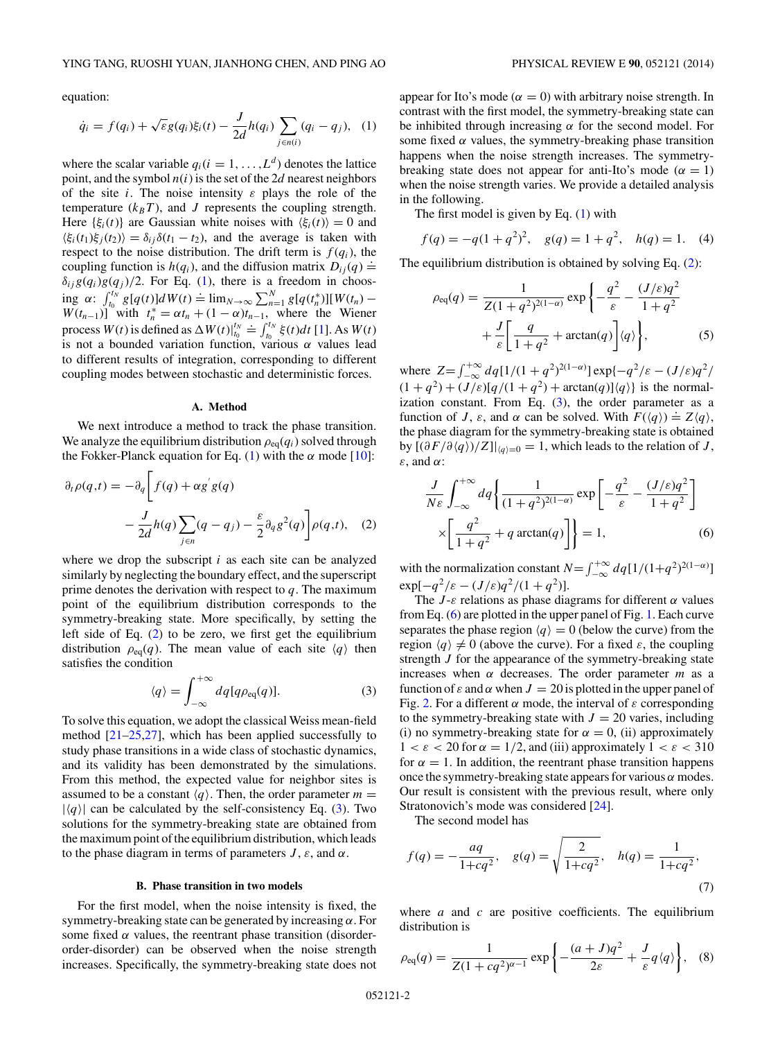<span id="page-1-0"></span>equation:

$$
\dot{q}_i = f(q_i) + \sqrt{\varepsilon} g(q_i) \xi_i(t) - \frac{J}{2d} h(q_i) \sum_{j \in n(i)} (q_i - q_j), \quad (1)
$$

where the scalar variable  $q_i(i = 1, ..., L^d)$  denotes the lattice point, and the symbol  $n(i)$  is the set of the 2*d* nearest neighbors of the site *i*. The noise intensity *ε* plays the role of the temperature  $(k_BT)$ , and *J* represents the coupling strength. Here  $\{\xi_i(t)\}\$ are Gaussian white noises with  $\langle \xi_i(t) \rangle = 0$  and  $\langle \xi_i(t_1)\xi_j(t_2)\rangle = \delta_{ij}\delta(t_1 - t_2)$ , and the average is taken with respect to the noise distribution. The drift term is  $f(q_i)$ , the coupling function is  $h(q_i)$ , and the diffusion matrix  $D_{ij}(q) \doteq$  $\delta_{ij}g(q_i)g(q_j)/2$ . For Eq. (1), there is a freedom in choosing *α*:  $\int_{t_0}^{t_N} g[q(t)]dW(t) = \lim_{N \to \infty} \sum_{n=1}^{N} g[q(t_n^*)][W(t_n) W(t_{n-1})$ <sup>n</sup> with  $t_n^* = \alpha t_n + (1 - \alpha)t_{n-1}$ , where the Wiener process  $W(t)$  is defined as  $\Delta W(t)|_{t_0}^{t_N} = \int_{t_0}^{t_N} \xi(t) dt$  [\[1\]](#page-4-0). As  $W(t)$ is not a bounded variation function, various  $\alpha$  values lead to different results of integration, corresponding to different coupling modes between stochastic and deterministic forces.

#### **A. Method**

We next introduce a method to track the phase transition. We analyze the equilibrium distribution  $\rho_{eq}(q_i)$  solved through the Fokker-Planck equation for Eq.  $(1)$  with the  $\alpha$  mode  $[10]$ :

$$
\partial_t \rho(q,t) = -\partial_q \left[ f(q) + \alpha g' g(q) - \frac{J}{2d} h(q) \sum_{j \in n} (q - q_j) - \frac{\varepsilon}{2} \partial_q g^2(q) \right] \rho(q,t), \quad (2)
$$

where we drop the subscript *i* as each site can be analyzed similarly by neglecting the boundary effect, and the superscript prime denotes the derivation with respect to *q*. The maximum point of the equilibrium distribution corresponds to the symmetry-breaking state. More specifically, by setting the left side of Eq. (2) to be zero, we first get the equilibrium distribution  $\rho_{eq}(q)$ . The mean value of each site  $\langle q \rangle$  then satisfies the condition

$$
\langle q \rangle = \int_{-\infty}^{+\infty} dq[q \rho_{\text{eq}}(q)]. \tag{3}
$$

To solve this equation, we adopt the classical Weiss mean-field method  $[21-25,27]$ , which has been applied successfully to study phase transitions in a wide class of stochastic dynamics, and its validity has been demonstrated by the simulations. From this method, the expected value for neighbor sites is assumed to be a constant  $\langle q \rangle$ . Then, the order parameter  $m =$  $|\langle q \rangle|$  can be calculated by the self-consistency Eq. (3). Two solutions for the symmetry-breaking state are obtained from the maximum point of the equilibrium distribution, which leads to the phase diagram in terms of parameters  $J$ ,  $\varepsilon$ , and  $\alpha$ .

### **B. Phase transition in two models**

For the first model, when the noise intensity is fixed, the symmetry-breaking state can be generated by increasing *α*. For some fixed  $\alpha$  values, the reentrant phase transition (disorderorder-disorder) can be observed when the noise strength increases. Specifically, the symmetry-breaking state does not

appear for Ito's mode ( $\alpha = 0$ ) with arbitrary noise strength. In contrast with the first model, the symmetry-breaking state can be inhibited through increasing  $\alpha$  for the second model. For some fixed  $\alpha$  values, the symmetry-breaking phase transition happens when the noise strength increases. The symmetrybreaking state does not appear for anti-Ito's mode  $(\alpha = 1)$ when the noise strength varies. We provide a detailed analysis in the following.

The first model is given by Eq. (1) with

$$
f(q) = -q(1+q^2)^2
$$
,  $g(q) = 1+q^2$ ,  $h(q) = 1$ . (4)

The equilibrium distribution is obtained by solving Eq. (2):

$$
\rho_{\text{eq}}(q) = \frac{1}{Z(1+q^2)^{2(1-\alpha)}} \exp\left\{-\frac{q^2}{\varepsilon} - \frac{(J/\varepsilon)q^2}{1+q^2} + \frac{J}{\varepsilon} \left[\frac{q}{1+q^2} + \arctan(q)\right] \langle q \rangle\right\},\tag{5}
$$

where  $Z = \int_{-\infty}^{+\infty} dq [1/(1+q^2)^{2(1-\alpha)}] \exp{-q^2/\varepsilon - (J/\varepsilon)q^2}$  $(1 + q^2) + (J/\varepsilon)[q/(1 + q^2) + \arctan(q)]\langle q \rangle$  is the normalization constant. From Eq.  $(3)$ , the order parameter as a function of *J*,  $\varepsilon$ , and  $\alpha$  can be solved. With  $F(\langle q \rangle) = Z\langle q \rangle$ , the phase diagram for the symmetry-breaking state is obtained by  $[(\partial F/\partial \langle q \rangle)/Z]$ <sub> $|q\rangle=0$ </sub> = 1, which leads to the relation of *J*, *ε*, and *α*:

$$
\frac{J}{N\varepsilon} \int_{-\infty}^{+\infty} dq \left\{ \frac{1}{(1+q^2)^{2(1-\alpha)}} \exp\left[ -\frac{q^2}{\varepsilon} - \frac{(J/\varepsilon)q^2}{1+q^2} \right] \right\}
$$

$$
\times \left[ \frac{q^2}{1+q^2} + q \arctan(q) \right] \right\} = 1, \tag{6}
$$

with the normalization constant  $N = \int_{-\infty}^{+\infty} dq \left[1/(1+q^2)^{2(1-\alpha)}\right]$  $\exp[-q^2/\varepsilon - (J/\varepsilon)q^2/(1+q^2)].$ 

The  $J$ - $\varepsilon$  relations as phase diagrams for different  $\alpha$  values from Eq. (6) are plotted in the upper panel of Fig. [1.](#page-2-0) Each curve separates the phase region  $\langle q \rangle = 0$  (below the curve) from the region  $\langle q \rangle \neq 0$  (above the curve). For a fixed  $\varepsilon$ , the coupling strength *J* for the appearance of the symmetry-breaking state increases when *α* decreases. The order parameter *m* as a function of  $\varepsilon$  and  $\alpha$  when  $J = 20$  is plotted in the upper panel of Fig. [2.](#page-2-0) For a different *α* mode, the interval of *ε* corresponding to the symmetry-breaking state with  $J = 20$  varies, including (i) no symmetry-breaking state for  $\alpha = 0$ , (ii) approximately  $1 < \varepsilon < 20$  for  $\alpha = 1/2$ , and (iii) approximately  $1 < \varepsilon < 310$ for  $\alpha = 1$ . In addition, the reentrant phase transition happens once the symmetry-breaking state appears for various *α* modes. Our result is consistent with the previous result, where only Stratonovich's mode was considered [\[24\]](#page-4-0).

The second model has

$$
f(q) = -\frac{aq}{1 + cq^2}, \quad g(q) = \sqrt{\frac{2}{1 + cq^2}}, \quad h(q) = \frac{1}{1 + cq^2}, \tag{7}
$$

where *a* and *c* are positive coefficients. The equilibrium distribution is

$$
\rho_{\text{eq}}(q) = \frac{1}{Z(1 + cq^2)^{\alpha - 1}} \exp\left\{-\frac{(a + J)q^2}{2\varepsilon} + \frac{J}{\varepsilon}q\langle q \rangle\right\}, \quad (8)
$$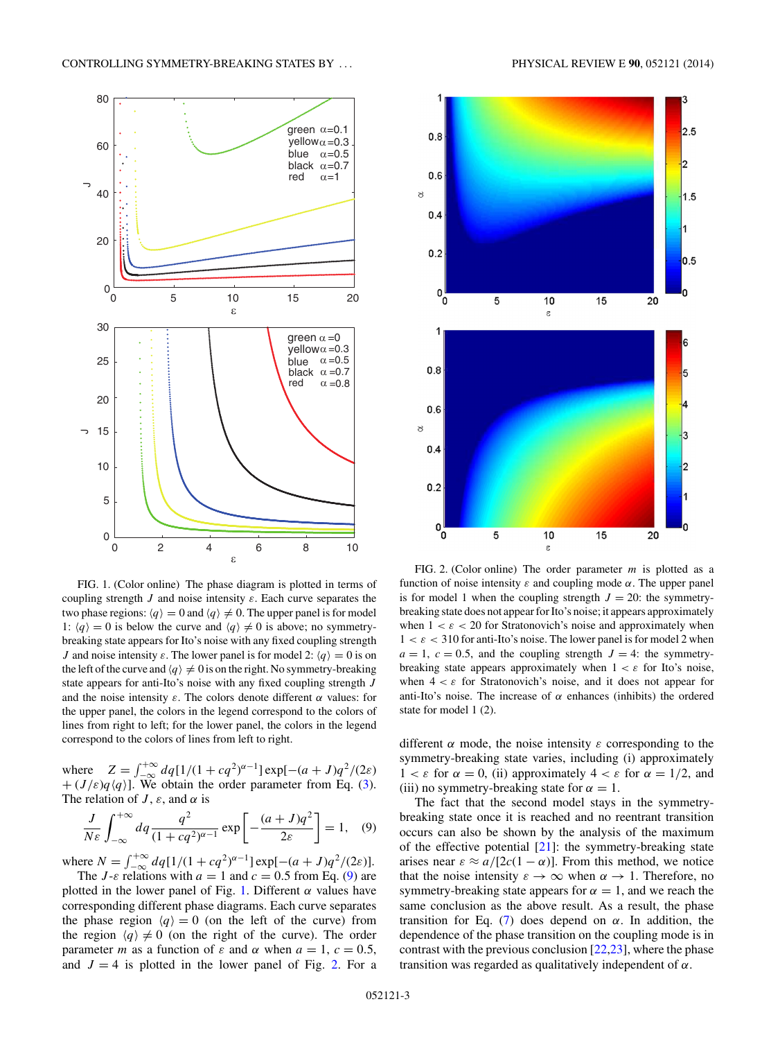<span id="page-2-0"></span>

FIG. 1. (Color online) The phase diagram is plotted in terms of coupling strength *J* and noise intensity *ε*. Each curve separates the two phase regions:  $\langle q \rangle = 0$  and  $\langle q \rangle \neq 0$ . The upper panel is for model 1:  $\langle q \rangle = 0$  is below the curve and  $\langle q \rangle \neq 0$  is above; no symmetrybreaking state appears for Ito's noise with any fixed coupling strength *J* and noise intensity  $\varepsilon$ . The lower panel is for model 2:  $\langle q \rangle = 0$  is on the left of the curve and  $\langle q \rangle \neq 0$  is on the right. No symmetry-breaking state appears for anti-Ito's noise with any fixed coupling strength *J* and the noise intensity  $\varepsilon$ . The colors denote different  $\alpha$  values: for the upper panel, the colors in the legend correspond to the colors of lines from right to left; for the lower panel, the colors in the legend correspond to the colors of lines from left to right.

where  $Z = \int_{-\infty}^{+\infty} dq [1/(1 + cq^2)^{\alpha-1}] \exp[-(a + J)q^2/(2\varepsilon)]$  $+(J/\varepsilon)q\langle q \rangle$ ]. We obtain the order parameter from Eq. [\(3\)](#page-1-0). The relation of  $J$ ,  $\varepsilon$ , and  $\alpha$  is

$$
\frac{J}{N\varepsilon} \int_{-\infty}^{+\infty} dq \frac{q^2}{(1 + cq^2)^{\alpha - 1}} \exp\left[-\frac{(a + J)q^2}{2\varepsilon}\right] = 1, \quad (9)
$$

where  $N = \int_{-\infty}^{+\infty} dq[1/(1 + cq^2)^{\alpha-1}] \exp[-(a + J)q^2/(2\varepsilon)].$ The *J*- $\varepsilon$  relations with  $a = 1$  and  $c = 0.5$  from Eq. (9) are

plotted in the lower panel of Fig. 1. Different  $\alpha$  values have corresponding different phase diagrams. Each curve separates the phase region  $\langle q \rangle = 0$  (on the left of the curve) from the region  $\langle q \rangle \neq 0$  (on the right of the curve). The order parameter *m* as a function of  $\varepsilon$  and  $\alpha$  when  $a = 1$ ,  $c = 0.5$ , and  $J = 4$  is plotted in the lower panel of Fig. 2. For a



FIG. 2. (Color online) The order parameter *m* is plotted as a function of noise intensity *ε* and coupling mode *α*. The upper panel is for model 1 when the coupling strength  $J = 20$ : the symmetrybreaking state does not appear for Ito's noise; it appears approximately when  $1 < \varepsilon < 20$  for Stratonovich's noise and approximately when  $1 < \varepsilon < 310$  for anti-Ito's noise. The lower panel is for model 2 when  $a = 1, c = 0.5$ , and the coupling strength  $J = 4$ : the symmetrybreaking state appears approximately when  $1 < \varepsilon$  for Ito's noise, when  $4 < \varepsilon$  for Stratonovich's noise, and it does not appear for anti-Ito's noise. The increase of  $\alpha$  enhances (inhibits) the ordered state for model 1 (2).

different  $\alpha$  mode, the noise intensity  $\varepsilon$  corresponding to the symmetry-breaking state varies, including (i) approximately  $1 < \varepsilon$  for  $\alpha = 0$ , (ii) approximately  $4 < \varepsilon$  for  $\alpha = 1/2$ , and (iii) no symmetry-breaking state for  $\alpha = 1$ .

The fact that the second model stays in the symmetrybreaking state once it is reached and no reentrant transition occurs can also be shown by the analysis of the maximum of the effective potential  $[21]$ : the symmetry-breaking state arises near  $\varepsilon \approx a/[2c(1-\alpha)]$ . From this method, we notice that the noise intensity  $\varepsilon \to \infty$  when  $\alpha \to 1$ . Therefore, no symmetry-breaking state appears for  $\alpha = 1$ , and we reach the same conclusion as the above result. As a result, the phase transition for Eq. [\(7\)](#page-1-0) does depend on *α*. In addition, the dependence of the phase transition on the coupling mode is in contrast with the previous conclusion [\[22,23\]](#page-4-0), where the phase transition was regarded as qualitatively independent of *α*.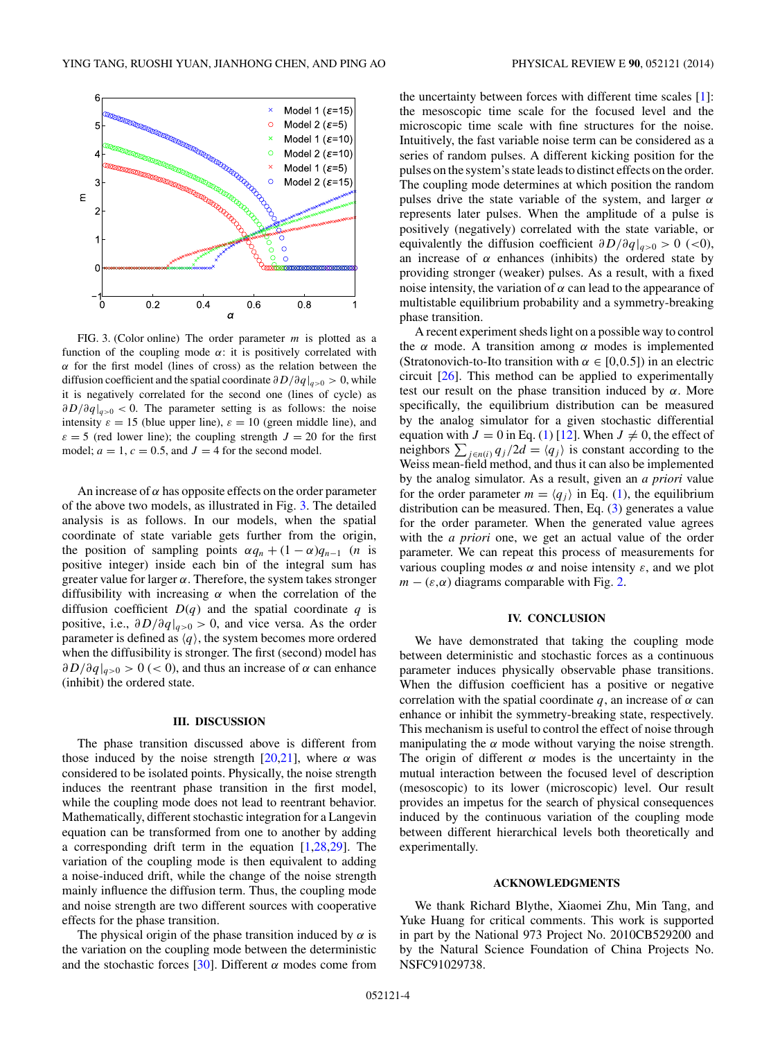<span id="page-3-0"></span>

FIG. 3. (Color online) The order parameter *m* is plotted as a function of the coupling mode  $\alpha$ : it is positively correlated with *α* for the first model (lines of cross) as the relation between the diffusion coefficient and the spatial coordinate *∂D/∂q*|*q>*<sup>0</sup> *>* 0, while it is negatively correlated for the second one (lines of cycle) as *∂D/∂q*|*q>*<sup>0</sup> *<* 0. The parameter setting is as follows: the noise intensity  $\varepsilon = 15$  (blue upper line),  $\varepsilon = 10$  (green middle line), and  $\varepsilon = 5$  (red lower line); the coupling strength  $J = 20$  for the first model;  $a = 1$ ,  $c = 0.5$ , and  $J = 4$  for the second model.

An increase of  $\alpha$  has opposite effects on the order parameter of the above two models, as illustrated in Fig. 3. The detailed analysis is as follows. In our models, when the spatial coordinate of state variable gets further from the origin, the position of sampling points  $\alpha q_n + (1 - \alpha) q_{n-1}$  (*n* is positive integer) inside each bin of the integral sum has greater value for larger *α*. Therefore, the system takes stronger diffusibility with increasing *α* when the correlation of the diffusion coefficient  $D(q)$  and the spatial coordinate  $q$  is positive, i.e., *∂D/∂q*|*q>*<sup>0</sup> *>* 0, and vice versa. As the order parameter is defined as  $\langle q \rangle$ , the system becomes more ordered when the diffusibility is stronger. The first (second) model has *∂D/∂q*|*q>*<sup>0</sup> *>* 0 (*<* 0), and thus an increase of *α* can enhance (inhibit) the ordered state.

### **III. DISCUSSION**

The phase transition discussed above is different from those induced by the noise strength  $[20,21]$ , where  $\alpha$  was considered to be isolated points. Physically, the noise strength induces the reentrant phase transition in the first model, while the coupling mode does not lead to reentrant behavior. Mathematically, different stochastic integration for a Langevin equation can be transformed from one to another by adding a corresponding drift term in the equation [\[1,28,29\]](#page-4-0). The variation of the coupling mode is then equivalent to adding a noise-induced drift, while the change of the noise strength mainly influence the diffusion term. Thus, the coupling mode and noise strength are two different sources with cooperative effects for the phase transition.

The physical origin of the phase transition induced by  $\alpha$  is the variation on the coupling mode between the deterministic and the stochastic forces [\[30\]](#page-4-0). Different *α* modes come from

the uncertainty between forces with different time scales [\[1\]](#page-4-0): the mesoscopic time scale for the focused level and the microscopic time scale with fine structures for the noise. Intuitively, the fast variable noise term can be considered as a series of random pulses. A different kicking position for the pulses on the system's state leads to distinct effects on the order. The coupling mode determines at which position the random pulses drive the state variable of the system, and larger *α* represents later pulses. When the amplitude of a pulse is positively (negatively) correlated with the state variable, or equivalently the diffusion coefficient  $\partial D/\partial q|_{q>0} > 0$  (<0), an increase of  $\alpha$  enhances (inhibits) the ordered state by providing stronger (weaker) pulses. As a result, with a fixed noise intensity, the variation of  $\alpha$  can lead to the appearance of multistable equilibrium probability and a symmetry-breaking phase transition.

A recent experiment sheds light on a possible way to control the *α* mode. A transition among *α* modes is implemented (Stratonovich-to-Ito transition with  $\alpha \in [0,0.5]$ ) in an electric circuit [\[26\]](#page-4-0). This method can be applied to experimentally test our result on the phase transition induced by  $\alpha$ . More specifically, the equilibrium distribution can be measured by the analog simulator for a given stochastic differential equation with  $J = 0$  in Eq. [\(1\)](#page-1-0) [\[12\]](#page-4-0). When  $J \neq 0$ , the effect of neighbors  $\sum_{j \in n(i)} q_j/2d = \langle q_j \rangle$  is constant according to the Weiss mean-field method, and thus it can also be implemented by the analog simulator. As a result, given an *a priori* value for the order parameter  $m = \langle q_i \rangle$  in Eq. [\(1\)](#page-1-0), the equilibrium distribution can be measured. Then, Eq.  $(3)$  generates a value for the order parameter. When the generated value agrees with the *a priori* one, we get an actual value of the order parameter. We can repeat this process of measurements for various coupling modes  $\alpha$  and noise intensity  $\varepsilon$ , and we plot  $m - (\varepsilon, \alpha)$  diagrams comparable with Fig. [2.](#page-2-0)

#### **IV. CONCLUSION**

We have demonstrated that taking the coupling mode between deterministic and stochastic forces as a continuous parameter induces physically observable phase transitions. When the diffusion coefficient has a positive or negative correlation with the spatial coordinate q, an increase of  $\alpha$  can enhance or inhibit the symmetry-breaking state, respectively. This mechanism is useful to control the effect of noise through manipulating the  $\alpha$  mode without varying the noise strength. The origin of different  $\alpha$  modes is the uncertainty in the mutual interaction between the focused level of description (mesoscopic) to its lower (microscopic) level. Our result provides an impetus for the search of physical consequences induced by the continuous variation of the coupling mode between different hierarchical levels both theoretically and experimentally.

## **ACKNOWLEDGMENTS**

We thank Richard Blythe, Xiaomei Zhu, Min Tang, and Yuke Huang for critical comments. This work is supported in part by the National 973 Project No. 2010CB529200 and by the Natural Science Foundation of China Projects No. NSFC91029738.